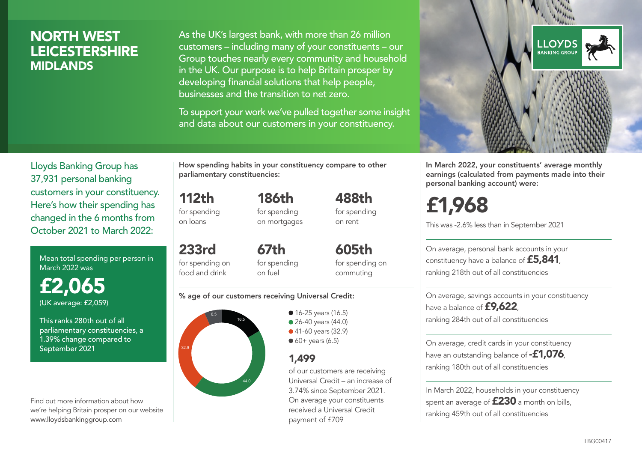### NORTH WEST LEICESTERSHIRE MIDLANDS

As the UK's largest bank, with more than 26 million customers – including many of your constituents – our Group touches nearly every community and household in the UK. Our purpose is to help Britain prosper by developing financial solutions that help people, businesses and the transition to net zero.

To support your work we've pulled together some insight and data about our customers in your constituency.



Mean total spending per person in March 2022 was

£2,065 (UK average: £2,059)

This ranks 280th out of all parliamentary constituencies, a 1.39% change compared to September 2021

Find out more information about how we're helping Britain prosper on our website www.lloydsbankinggroup.com

How spending habits in your constituency compare to other parliamentary constituencies:

> 186th for spending on mortgages

112th for spending on loans

food and drink

233rd for spending on 67th

for spending on fuel

for spending on commuting

488th for spending on rent

605th

#### % age of our customers receiving Universal Credit:



• 16-25 years (16.5) ● 26-40 years (44.0) ● 41-60 years (32.9)  $60+$  years (6.5)

### 1,499

of our customers are receiving Universal Credit – an increase of 3.74% since September 2021. On average your constituents received a Universal Credit payment of £709



In March 2022, your constituents' average monthly earnings (calculated from payments made into their personal banking account) were:

# £1,968

This was -2.6% less than in September 2021

On average, personal bank accounts in your constituency have a balance of £5,841, ranking 218th out of all constituencies

On average, savings accounts in your constituency have a balance of **£9,622**, ranking 284th out of all constituencies

On average, credit cards in your constituency have an outstanding balance of  $-£1.076$ . ranking 180th out of all constituencies

In March 2022, households in your constituency spent an average of £230 a month on bills, ranking 459th out of all constituencies